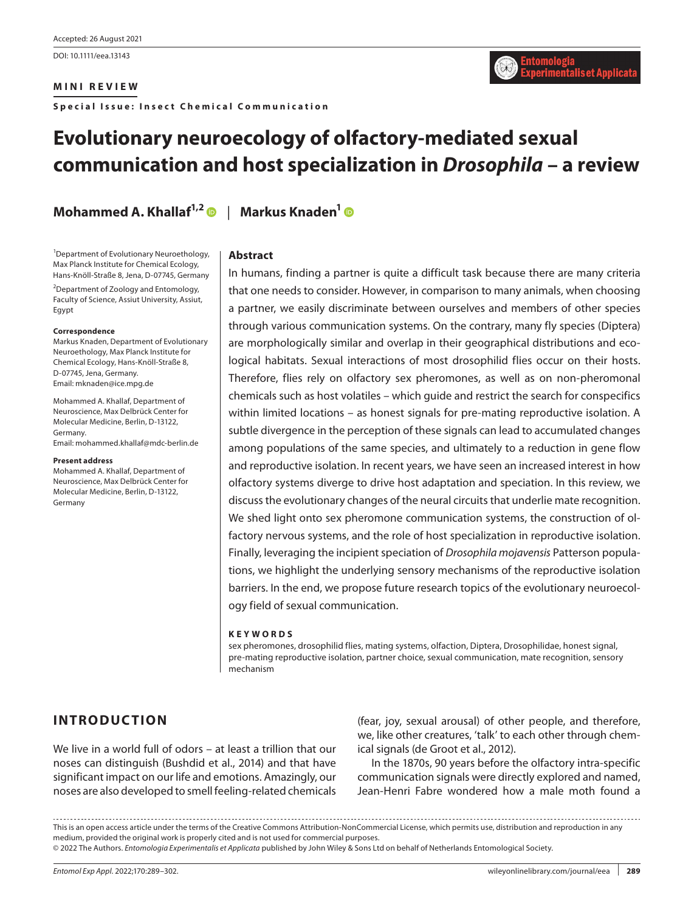DOI: 10.1111/eea.13143

#### **MINI REVIEW**

**Special Issue: Insect Chemical Communication**

# **Evolutionary neuroecology of olfactory-mediated sexual communication and host specialization in** *Drosophila* **– a review**

**Mohammed A. Khallaf1,[2](https://orcid.org/0000-0002-1402-3858)** | **Markus Knaden[1](https://orcid.org/0000-0002-6710-1071)**

1 Department of Evolutionary Neuroethology, Max Planck Institute for Chemical Ecology, Hans-Knöll-Straße 8, Jena, D-07745, Germany

<sup>2</sup>Department of Zoology and Entomology, Faculty of Science, Assiut University, Assiut, Egypt

#### **Correspondence**

Markus Knaden, Department of Evolutionary Neuroethology, Max Planck Institute for Chemical Ecology, Hans-Knöll-Straße 8, D-07745, Jena, Germany. Email: [mknaden@ice.mpg.de](mailto:mknaden@ice.mpg.de) 

Mohammed A. Khallaf, Department of Neuroscience, Max Delbrück Center for Molecular Medicine, Berlin, D-13122, Germany. Email: [mohammed.khallaf@mdc-berlin.de](mailto:mohammed.khallaf@mdc-berlin.de)

#### **Present address**

Mohammed A. Khallaf, Department of Neuroscience, Max Delbrück Center for Molecular Medicine, Berlin, D-13122, Germany

#### **Abstract**

In humans, finding a partner is quite a difficult task because there are many criteria that one needs to consider. However, in comparison to many animals, when choosing a partner, we easily discriminate between ourselves and members of other species through various communication systems. On the contrary, many fly species (Diptera) are morphologically similar and overlap in their geographical distributions and ecological habitats. Sexual interactions of most drosophilid flies occur on their hosts. Therefore, flies rely on olfactory sex pheromones, as well as on non-pheromonal chemicals such as host volatiles – which guide and restrict the search for conspecifics within limited locations – as honest signals for pre-mating reproductive isolation. A subtle divergence in the perception of these signals can lead to accumulated changes among populations of the same species, and ultimately to a reduction in gene flow and reproductive isolation. In recent years, we have seen an increased interest in how olfactory systems diverge to drive host adaptation and speciation. In this review, we discuss the evolutionary changes of the neural circuits that underlie mate recognition. We shed light onto sex pheromone communication systems, the construction of olfactory nervous systems, and the role of host specialization in reproductive isolation. Finally, leveraging the incipient speciation of *Drosophila mojavensis* Patterson populations, we highlight the underlying sensory mechanisms of the reproductive isolation barriers. In the end, we propose future research topics of the evolutionary neuroecology field of sexual communication.

#### **KEYWORDS**

sex pheromones, drosophilid flies, mating systems, olfaction, Diptera, Drosophilidae, honest signal, pre-mating reproductive isolation, partner choice, sexual communication, mate recognition, sensory mechanism

# **INTRODUCTION**

We live in a world full of odors – at least a trillion that our noses can distinguish (Bushdid et al., 2014) and that have significant impact on our life and emotions. Amazingly, our noses are also developed to smell feeling-related chemicals (fear, joy, sexual arousal) of other people, and therefore, we, like other creatures, 'talk' to each other through chemical signals (de Groot et al., 2012).

In the 1870s, 90 years before the olfactory intra-specific communication signals were directly explored and named, Jean-Henri Fabre wondered how a male moth found a

This is an open access article under the terms of the [Creative Commons Attribution-NonCommercial](http://creativecommons.org/licenses/by-nc/4.0/%0d%0a) License, which permits use, distribution and reproduction in any medium, provided the original work is properly cited and is not used for commercial purposes. © 2022 The Authors. *Entomologia Experimentalis et Applicata* published by John Wiley & Sons Ltd on behalf of Netherlands Entomological Society.

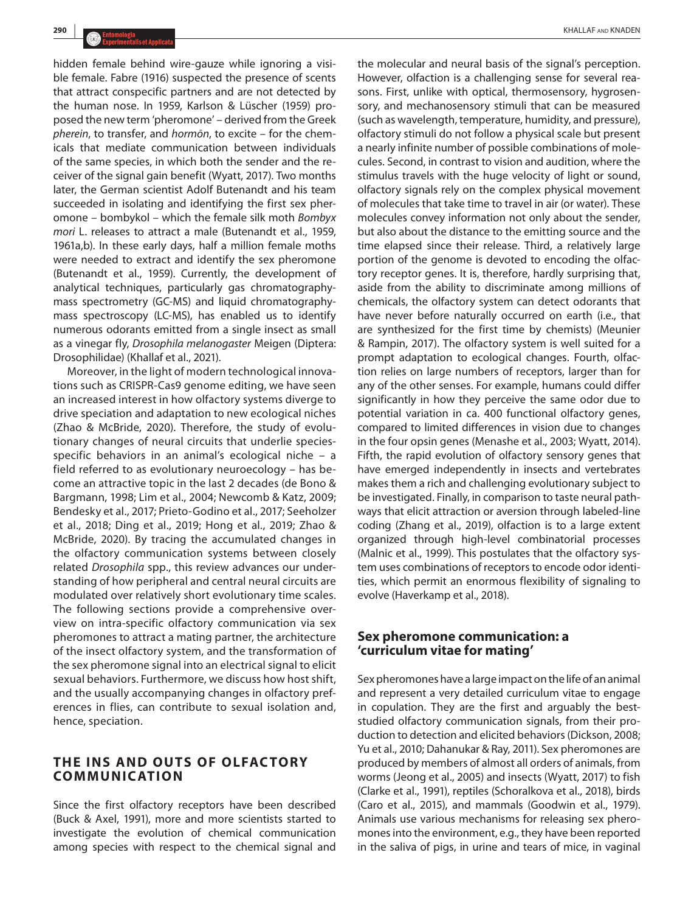hidden female behind wire-gauze while ignoring a visible female. Fabre (1916) suspected the presence of scents that attract conspecific partners and are not detected by the human nose. In 1959, Karlson & Lüscher (1959) proposed the new term 'pheromone' – derived from the Greek *pherein*, to transfer, and *hormōn*, to excite – for the chemicals that mediate communication between individuals of the same species, in which both the sender and the receiver of the signal gain benefit (Wyatt, 2017). Two months later, the German scientist Adolf Butenandt and his team succeeded in isolating and identifying the first sex pheromone – bombykol – which the female silk moth *Bombyx mori* L. releases to attract a male (Butenandt et al., 1959, 1961a,b). In these early days, half a million female moths were needed to extract and identify the sex pheromone (Butenandt et al., 1959). Currently, the development of analytical techniques, particularly gas chromatographymass spectrometry (GC-MS) and liquid chromatographymass spectroscopy (LC-MS), has enabled us to identify numerous odorants emitted from a single insect as small as a vinegar fly, *Drosophila melanogaster* Meigen (Diptera: Drosophilidae) (Khallaf et al., 2021).

Moreover, in the light of modern technological innovations such as CRISPR-Cas9 genome editing, we have seen an increased interest in how olfactory systems diverge to drive speciation and adaptation to new ecological niches (Zhao & McBride, 2020). Therefore, the study of evolutionary changes of neural circuits that underlie speciesspecific behaviors in an animal's ecological niche – a field referred to as evolutionary neuroecology – has become an attractive topic in the last 2 decades (de Bono & Bargmann, 1998; Lim et al., 2004; Newcomb & Katz, 2009; Bendesky et al., 2017; Prieto-Godino et al., 2017; Seeholzer et al., 2018; Ding et al., 2019; Hong et al., 2019; Zhao & McBride, 2020). By tracing the accumulated changes in the olfactory communication systems between closely related *Drosophila* spp., this review advances our understanding of how peripheral and central neural circuits are modulated over relatively short evolutionary time scales. The following sections provide a comprehensive overview on intra-specific olfactory communication via sex pheromones to attract a mating partner, the architecture of the insect olfactory system, and the transformation of the sex pheromone signal into an electrical signal to elicit sexual behaviors. Furthermore, we discuss how host shift, and the usually accompanying changes in olfactory preferences in flies, can contribute to sexual isolation and, hence, speciation.

# **THE INS AND OUTS OF OLFACTORY COMMUNICATION**

Since the first olfactory receptors have been described (Buck & Axel, 1991), more and more scientists started to investigate the evolution of chemical communication among species with respect to the chemical signal and

the molecular and neural basis of the signal's perception. However, olfaction is a challenging sense for several reasons. First, unlike with optical, thermosensory, hygrosensory, and mechanosensory stimuli that can be measured (such as wavelength, temperature, humidity, and pressure), olfactory stimuli do not follow a physical scale but present a nearly infinite number of possible combinations of molecules. Second, in contrast to vision and audition, where the stimulus travels with the huge velocity of light or sound, olfactory signals rely on the complex physical movement of molecules that take time to travel in air (or water). These molecules convey information not only about the sender, but also about the distance to the emitting source and the time elapsed since their release. Third, a relatively large portion of the genome is devoted to encoding the olfactory receptor genes. It is, therefore, hardly surprising that, aside from the ability to discriminate among millions of chemicals, the olfactory system can detect odorants that have never before naturally occurred on earth (i.e., that are synthesized for the first time by chemists) (Meunier & Rampin, 2017). The olfactory system is well suited for a prompt adaptation to ecological changes. Fourth, olfaction relies on large numbers of receptors, larger than for any of the other senses. For example, humans could differ significantly in how they perceive the same odor due to potential variation in ca. 400 functional olfactory genes, compared to limited differences in vision due to changes in the four opsin genes (Menashe et al., 2003; Wyatt, 2014). Fifth, the rapid evolution of olfactory sensory genes that have emerged independently in insects and vertebrates makes them a rich and challenging evolutionary subject to be investigated. Finally, in comparison to taste neural pathways that elicit attraction or aversion through labeled-line coding (Zhang et al., 2019), olfaction is to a large extent organized through high-level combinatorial processes (Malnic et al., 1999). This postulates that the olfactory system uses combinations of receptors to encode odor identities, which permit an enormous flexibility of signaling to evolve (Haverkamp et al., 2018).

# **Sex pheromone communication: a 'curriculum vitae for mating'**

Sex pheromones have a large impact on the life of an animal and represent a very detailed curriculum vitae to engage in copulation. They are the first and arguably the beststudied olfactory communication signals, from their production to detection and elicited behaviors (Dickson, 2008; Yu et al., 2010; Dahanukar & Ray, 2011). Sex pheromones are produced by members of almost all orders of animals, from worms (Jeong et al., 2005) and insects (Wyatt, 2017) to fish (Clarke et al., 1991), reptiles (Schoralkova et al., 2018), birds (Caro et al., 2015), and mammals (Goodwin et al., 1979). Animals use various mechanisms for releasing sex pheromones into the environment, e.g., they have been reported in the saliva of pigs, in urine and tears of mice, in vaginal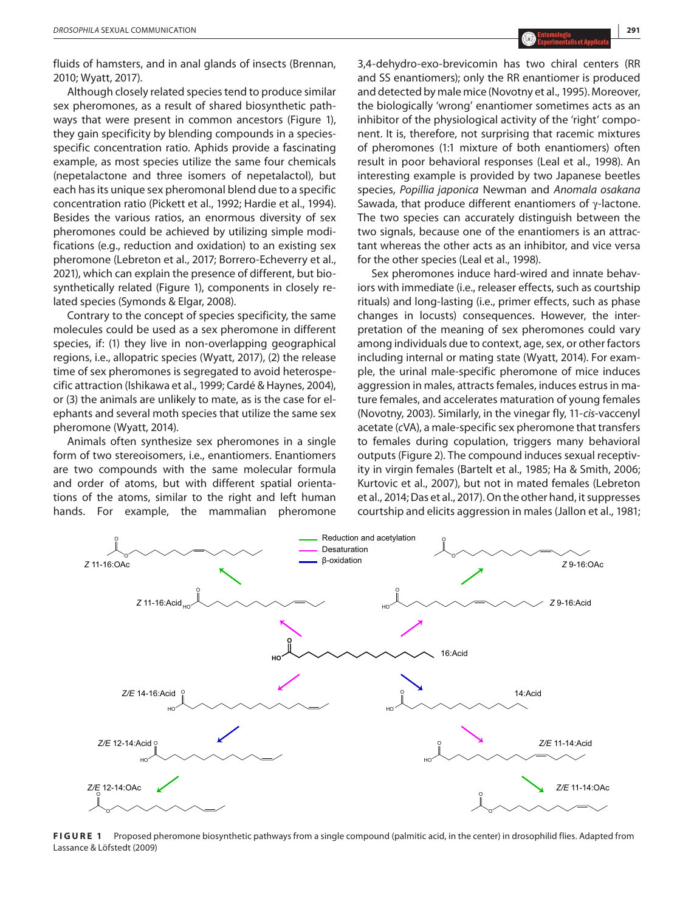Although closely related species tend to produce similar sex pheromones, as a result of shared biosynthetic pathways that were present in common ancestors (Figure 1), they gain specificity by blending compounds in a speciesspecific concentration ratio. Aphids provide a fascinating example, as most species utilize the same four chemicals (nepetalactone and three isomers of nepetalactol), but each has its unique sex pheromonal blend due to a specific concentration ratio (Pickett et al., 1992; Hardie et al., 1994). Besides the various ratios, an enormous diversity of sex pheromones could be achieved by utilizing simple modifications (e.g., reduction and oxidation) to an existing sex pheromone (Lebreton et al., 2017; Borrero-Echeverry et al., 2021), which can explain the presence of different, but biosynthetically related (Figure 1), components in closely related species (Symonds & Elgar, 2008).

Contrary to the concept of species specificity, the same molecules could be used as a sex pheromone in different species, if: (1) they live in non-overlapping geographical regions, i.e., allopatric species (Wyatt, 2017), (2) the release time of sex pheromones is segregated to avoid heterospecific attraction (Ishikawa et al., 1999; Cardé & Haynes, 2004), or (3) the animals are unlikely to mate, as is the case for elephants and several moth species that utilize the same sex pheromone (Wyatt, 2014).

Animals often synthesize sex pheromones in a single form of two stereoisomers, i.e., enantiomers. Enantiomers are two compounds with the same molecular formula and order of atoms, but with different spatial orientations of the atoms, similar to the right and left human hands. For example, the mammalian pheromone

> O O

*Z* 11-16:OAc

3,4-dehydro-exo-brevicomin has two chiral centers (RR and SS enantiomers); only the RR enantiomer is produced and detected by male mice (Novotny et al., 1995). Moreover, the biologically 'wrong' enantiomer sometimes acts as an inhibitor of the physiological activity of the 'right' component. It is, therefore, not surprising that racemic mixtures of pheromones (1:1 mixture of both enantiomers) often result in poor behavioral responses (Leal et al., 1998). An interesting example is provided by two Japanese beetles species, *Popillia japonica* Newman and *Anomala osakana* Sawada, that produce different enantiomers of  $\gamma$ -lactone. The two species can accurately distinguish between the two signals, because one of the enantiomers is an attractant whereas the other acts as an inhibitor, and vice versa for the other species (Leal et al., 1998).

Sex pheromones induce hard-wired and innate behaviors with immediate (i.e., releaser effects, such as courtship rituals) and long-lasting (i.e., primer effects, such as phase changes in locusts) consequences. However, the interpretation of the meaning of sex pheromones could vary among individuals due to context, age, sex, or other factors including internal or mating state (Wyatt, 2014). For example, the urinal male-specific pheromone of mice induces aggression in males, attracts females, induces estrus in mature females, and accelerates maturation of young females (Novotny, 2003). Similarly, in the vinegar fly, 11-*cis*-vaccenyl acetate (*c*VA), a male-specific sex pheromone that transfers to females during copulation, triggers many behavioral outputs (Figure 2). The compound induces sexual receptivity in virgin females (Bartelt et al., 1985; Ha & Smith, 2006; Kurtovic et al., 2007), but not in mated females (Lebreton et al., 2014; Das et al., 2017). On the other hand, it suppresses courtship and elicits aggression in males (Jallon et al., 1981;

*Z* 9-16:OAc

O O



Reduction and acetylation

Desaturation β-oxidation

**FIGURE 1** Proposed pheromone biosynthetic pathways from a single compound (palmitic acid, in the center) in drosophilid flies. Adapted from Lassance & Löfstedt (2009)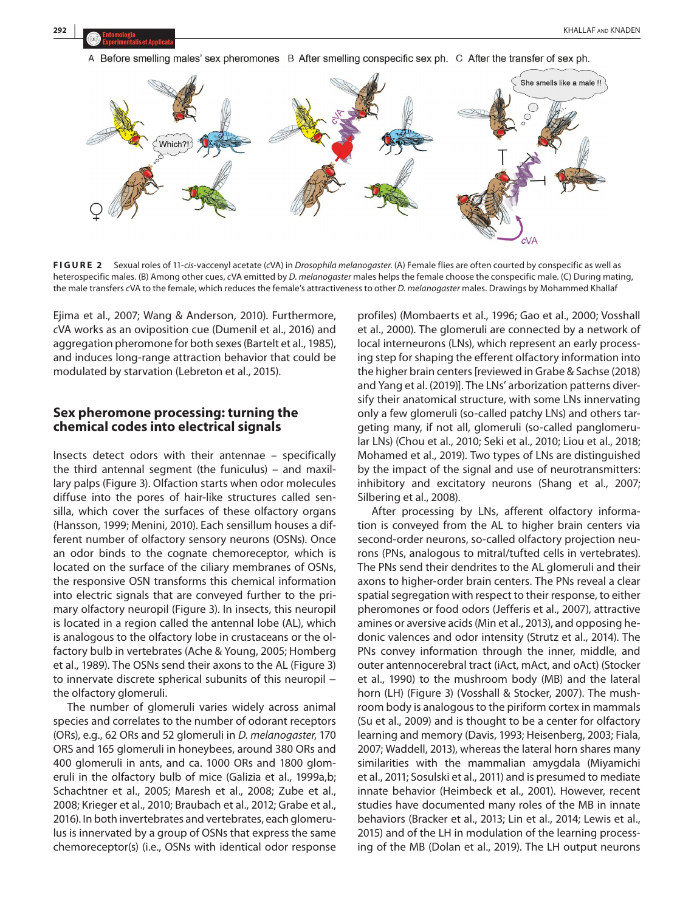



**FIGURE 2** Sexual roles of 11-*cis*-vaccenyl acetate (*c*VA) in *Drosophila melanogaster*. (A) Female flies are often courted by conspecific as well as heterospecific males. (B) Among other cues, *c*VA emitted by *D. melanogaster* males helps the female choose the conspecific male. (C) During mating, the male transfers *c*VA to the female, which reduces the female's attractiveness to other *D. melanogaster* males. Drawings by Mohammed Khallaf

Ejima et al., 2007; Wang & Anderson, 2010). Furthermore, *c*VA works as an oviposition cue (Dumenil et al., 2016) and aggregation pheromone for both sexes (Bartelt et al., 1985), and induces long-range attraction behavior that could be modulated by starvation (Lebreton et al., 2015).

# **Sex pheromone processing: turning the chemical codes into electrical signals**

Insects detect odors with their antennae – specifically the third antennal segment (the funiculus) – and maxillary palps (Figure 3). Olfaction starts when odor molecules diffuse into the pores of hair-like structures called sensilla, which cover the surfaces of these olfactory organs (Hansson, 1999; Menini, 2010). Each sensillum houses a different number of olfactory sensory neurons (OSNs). Once an odor binds to the cognate chemoreceptor, which is located on the surface of the ciliary membranes of OSNs, the responsive OSN transforms this chemical information into electric signals that are conveyed further to the primary olfactory neuropil (Figure 3). In insects, this neuropil is located in a region called the antennal lobe (AL), which is analogous to the olfactory lobe in crustaceans or the olfactory bulb in vertebrates (Ache & Young, 2005; Homberg et al., 1989). The OSNs send their axons to the AL (Figure 3) to innervate discrete spherical subunits of this neuropil − the olfactory glomeruli.

The number of glomeruli varies widely across animal species and correlates to the number of odorant receptors (ORs), e.g., 62 ORs and 52 glomeruli in *D. melanogaster*, 170 ORS and 165 glomeruli in honeybees, around 380 ORs and 400 glomeruli in ants, and ca. 1000 ORs and 1800 glomeruli in the olfactory bulb of mice (Galizia et al., 1999a,b; Schachtner et al., 2005; Maresh et al., 2008; Zube et al., 2008; Krieger et al., 2010; Braubach et al., 2012; Grabe et al., 2016). In both invertebrates and vertebrates, each glomerulus is innervated by a group of OSNs that express the same chemoreceptor(s) (i.e., OSNs with identical odor response

profiles) (Mombaerts et al., 1996; Gao et al., 2000; Vosshall et al., 2000). The glomeruli are connected by a network of local interneurons (LNs), which represent an early processing step for shaping the efferent olfactory information into the higher brain centers [reviewed in Grabe & Sachse (2018) and Yang et al. (2019)]. The LNs' arborization patterns diversify their anatomical structure, with some LNs innervating only a few glomeruli (so-called patchy LNs) and others targeting many, if not all, glomeruli (so-called panglomerular LNs) (Chou et al., 2010; Seki et al., 2010; Liou et al., 2018; Mohamed et al., 2019). Two types of LNs are distinguished by the impact of the signal and use of neurotransmitters: inhibitory and excitatory neurons (Shang et al., 2007; Silbering et al., 2008).

After processing by LNs, afferent olfactory information is conveyed from the AL to higher brain centers via second-order neurons, so-called olfactory projection neurons (PNs, analogous to mitral/tufted cells in vertebrates). The PNs send their dendrites to the AL glomeruli and their axons to higher-order brain centers. The PNs reveal a clear spatial segregation with respect to their response, to either pheromones or food odors (Jefferis et al., 2007), attractive amines or aversive acids (Min et al., 2013), and opposing hedonic valences and odor intensity (Strutz et al., 2014). The PNs convey information through the inner, middle, and outer antennocerebral tract (iAct, mAct, and oAct) (Stocker et al., 1990) to the mushroom body (MB) and the lateral horn (LH) (Figure 3) (Vosshall & Stocker, 2007). The mushroom body is analogous to the piriform cortex in mammals (Su et al., 2009) and is thought to be a center for olfactory learning and memory (Davis, 1993; Heisenberg, 2003; Fiala, 2007; Waddell, 2013), whereas the lateral horn shares many similarities with the mammalian amygdala (Miyamichi et al., 2011; Sosulski et al., 2011) and is presumed to mediate innate behavior (Heimbeck et al., 2001). However, recent studies have documented many roles of the MB in innate behaviors (Bracker et al., 2013; Lin et al., 2014; Lewis et al., 2015) and of the LH in modulation of the learning processing of the MB (Dolan et al., 2019). The LH output neurons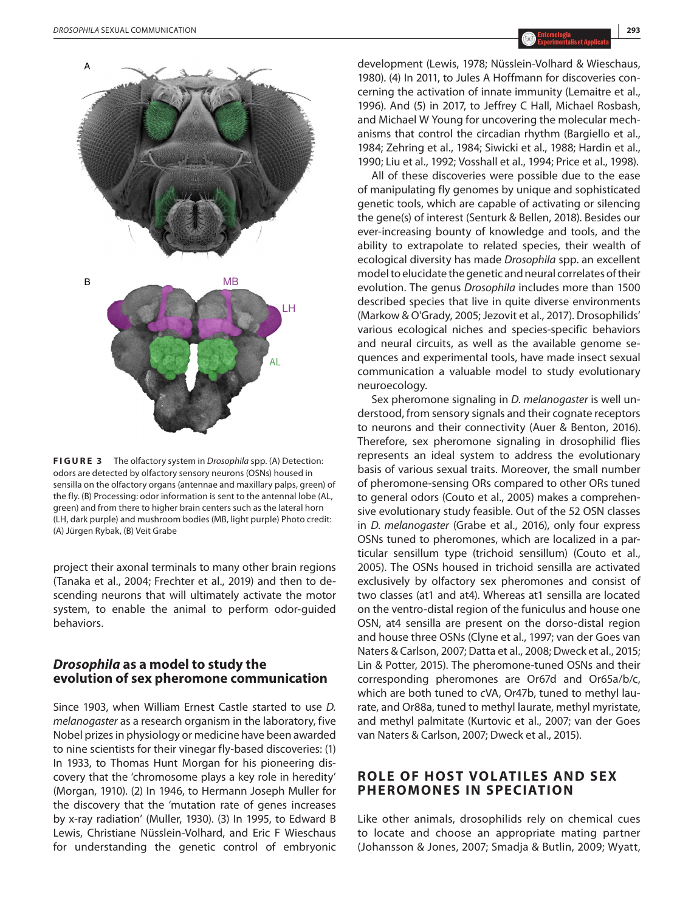

**FIGURE 3** The olfactory system in *Drosophila* spp. (A) Detection: odors are detected by olfactory sensory neurons (OSNs) housed in sensilla on the olfactory organs (antennae and maxillary palps, green) of the fly. (B) Processing: odor information is sent to the antennal lobe (AL, green) and from there to higher brain centers such as the lateral horn (LH, dark purple) and mushroom bodies (MB, light purple) Photo credit: (A) Jürgen Rybak, (B) Veit Grabe

project their axonal terminals to many other brain regions (Tanaka et al., 2004; Frechter et al., 2019) and then to descending neurons that will ultimately activate the motor system, to enable the animal to perform odor-guided behaviors.

## *Drosophila* **as a model to study the evolution of sex pheromone communication**

Since 1903, when William Ernest Castle started to use *D. melanogaster* as a research organism in the laboratory, five Nobel prizes in physiology or medicine have been awarded to nine scientists for their vinegar fly-based discoveries: (1) In 1933, to Thomas Hunt Morgan for his pioneering discovery that the 'chromosome plays a key role in heredity' (Morgan, 1910). (2) In 1946, to Hermann Joseph Muller for the discovery that the 'mutation rate of genes increases by x-ray radiation' (Muller, 1930). (3) In 1995, to Edward B Lewis, Christiane Nüsslein-Volhard, and Eric F Wieschaus for understanding the genetic control of embryonic

development (Lewis, 1978; Nüsslein-Volhard & Wieschaus, 1980). (4) In 2011, to Jules A Hoffmann for discoveries concerning the activation of innate immunity (Lemaitre et al., 1996). And (5) in 2017, to Jeffrey C Hall, Michael Rosbash, and Michael W Young for uncovering the molecular mechanisms that control the circadian rhythm (Bargiello et al., 1984; Zehring et al., 1984; Siwicki et al., 1988; Hardin et al., 1990; Liu et al., 1992; Vosshall et al., 1994; Price et al., 1998).

All of these discoveries were possible due to the ease of manipulating fly genomes by unique and sophisticated genetic tools, which are capable of activating or silencing the gene(s) of interest (Senturk & Bellen, 2018). Besides our ever-increasing bounty of knowledge and tools, and the ability to extrapolate to related species, their wealth of ecological diversity has made *Drosophila* spp. an excellent model to elucidate the genetic and neural correlates of their evolution. The genus *Drosophila* includes more than 1500 described species that live in quite diverse environments (Markow & O'Grady, 2005; Jezovit et al., 2017). Drosophilids' various ecological niches and species-specific behaviors and neural circuits, as well as the available genome sequences and experimental tools, have made insect sexual communication a valuable model to study evolutionary neuroecology.

Sex pheromone signaling in *D. melanogaster* is well understood, from sensory signals and their cognate receptors to neurons and their connectivity (Auer & Benton, 2016). Therefore, sex pheromone signaling in drosophilid flies represents an ideal system to address the evolutionary basis of various sexual traits. Moreover, the small number of pheromone-sensing ORs compared to other ORs tuned to general odors (Couto et al., 2005) makes a comprehensive evolutionary study feasible. Out of the 52 OSN classes in *D. melanogaster* (Grabe et al., 2016), only four express OSNs tuned to pheromones, which are localized in a particular sensillum type (trichoid sensillum) (Couto et al., 2005). The OSNs housed in trichoid sensilla are activated exclusively by olfactory sex pheromones and consist of two classes (at1 and at4). Whereas at1 sensilla are located on the ventro-distal region of the funiculus and house one OSN, at4 sensilla are present on the dorso-distal region and house three OSNs (Clyne et al., 1997; van der Goes van Naters & Carlson, 2007; Datta et al., 2008; Dweck et al., 2015; Lin & Potter, 2015). The pheromone-tuned OSNs and their corresponding pheromones are Or67d and Or65a/b/c, which are both tuned to *c*VA, Or47b, tuned to methyl laurate, and Or88a, tuned to methyl laurate, methyl myristate, and methyl palmitate (Kurtovic et al., 2007; van der Goes van Naters & Carlson, 2007; Dweck et al., 2015).

# **ROLE OF HOST VOLATILES AND SEX PHEROMONES IN SPECIATION**

Like other animals, drosophilids rely on chemical cues to locate and choose an appropriate mating partner (Johansson & Jones, 2007; Smadja & Butlin, 2009; Wyatt,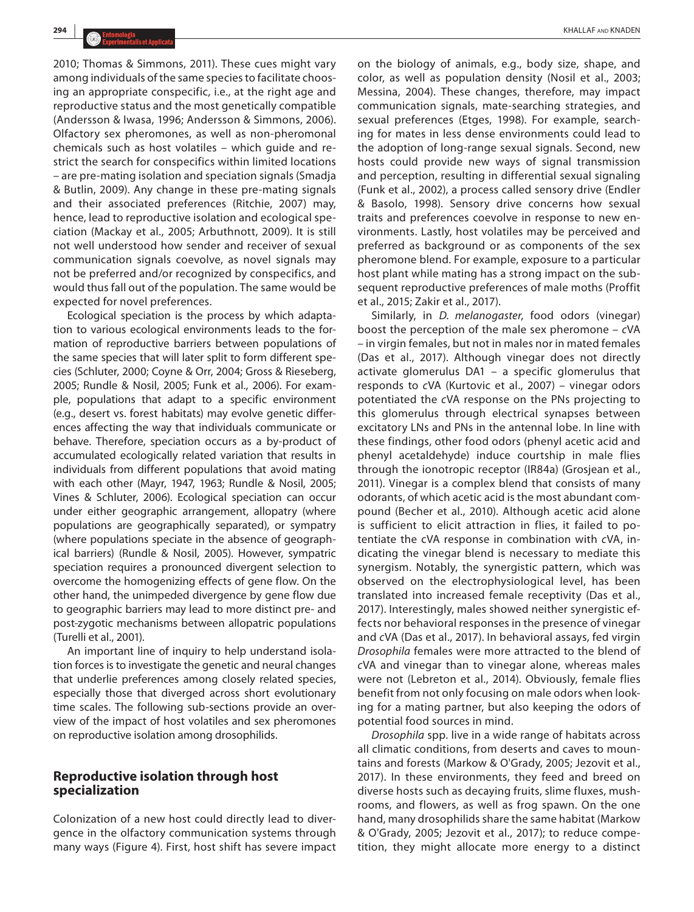2010; Thomas & Simmons, 2011). These cues might vary among individuals of the same species to facilitate choosing an appropriate conspecific, i.e., at the right age and reproductive status and the most genetically compatible (Andersson & Iwasa, 1996; Andersson & Simmons, 2006). Olfactory sex pheromones, as well as non-pheromonal chemicals such as host volatiles – which guide and restrict the search for conspecifics within limited locations – are pre-mating isolation and speciation signals (Smadja & Butlin, 2009). Any change in these pre-mating signals and their associated preferences (Ritchie, 2007) may, hence, lead to reproductive isolation and ecological speciation (Mackay et al., 2005; Arbuthnott, 2009). It is still not well understood how sender and receiver of sexual communication signals coevolve, as novel signals may not be preferred and/or recognized by conspecifics, and would thus fall out of the population. The same would be expected for novel preferences.

Ecological speciation is the process by which adaptation to various ecological environments leads to the formation of reproductive barriers between populations of the same species that will later split to form different species (Schluter, 2000; Coyne & Orr, 2004; Gross & Rieseberg, 2005; Rundle & Nosil, 2005; Funk et al., 2006). For example, populations that adapt to a specific environment (e.g., desert vs. forest habitats) may evolve genetic differences affecting the way that individuals communicate or behave. Therefore, speciation occurs as a by-product of accumulated ecologically related variation that results in individuals from different populations that avoid mating with each other (Mayr, 1947, 1963; Rundle & Nosil, 2005; Vines & Schluter, 2006). Ecological speciation can occur under either geographic arrangement, allopatry (where populations are geographically separated), or sympatry (where populations speciate in the absence of geographical barriers) (Rundle & Nosil, 2005). However, sympatric speciation requires a pronounced divergent selection to overcome the homogenizing effects of gene flow. On the other hand, the unimpeded divergence by gene flow due to geographic barriers may lead to more distinct pre- and post-zygotic mechanisms between allopatric populations (Turelli et al., 2001).

An important line of inquiry to help understand isolation forces is to investigate the genetic and neural changes that underlie preferences among closely related species, especially those that diverged across short evolutionary time scales. The following sub-sections provide an overview of the impact of host volatiles and sex pheromones on reproductive isolation among drosophilids.

#### **Reproductive isolation through host specialization**

Colonization of a new host could directly lead to divergence in the olfactory communication systems through many ways (Figure 4). First, host shift has severe impact on the biology of animals, e.g., body size, shape, and color, as well as population density (Nosil et al., 2003; Messina, 2004). These changes, therefore, may impact communication signals, mate-searching strategies, and sexual preferences (Etges, 1998). For example, searching for mates in less dense environments could lead to the adoption of long-range sexual signals. Second, new hosts could provide new ways of signal transmission and perception, resulting in differential sexual signaling (Funk et al., 2002), a process called sensory drive (Endler & Basolo, 1998). Sensory drive concerns how sexual traits and preferences coevolve in response to new environments. Lastly, host volatiles may be perceived and preferred as background or as components of the sex pheromone blend. For example, exposure to a particular host plant while mating has a strong impact on the subsequent reproductive preferences of male moths (Proffit et al., 2015; Zakir et al., 2017).

Similarly, in *D. melanogaster*, food odors (vinegar) boost the perception of the male sex pheromone – *c*VA – in virgin females, but not in males nor in mated females (Das et al., 2017). Although vinegar does not directly activate glomerulus DA1 – a specific glomerulus that responds to *c*VA (Kurtovic et al., 2007) – vinegar odors potentiated the *c*VA response on the PNs projecting to this glomerulus through electrical synapses between excitatory LNs and PNs in the antennal lobe. In line with these findings, other food odors (phenyl acetic acid and phenyl acetaldehyde) induce courtship in male flies through the ionotropic receptor (IR84a) (Grosjean et al., 2011). Vinegar is a complex blend that consists of many odorants, of which acetic acid is the most abundant compound (Becher et al., 2010). Although acetic acid alone is sufficient to elicit attraction in flies, it failed to potentiate the cVA response in combination with *c*VA, indicating the vinegar blend is necessary to mediate this synergism. Notably, the synergistic pattern, which was observed on the electrophysiological level, has been translated into increased female receptivity (Das et al., 2017). Interestingly, males showed neither synergistic effects nor behavioral responses in the presence of vinegar and *c*VA (Das et al., 2017). In behavioral assays, fed virgin *Drosophila* females were more attracted to the blend of *c*VA and vinegar than to vinegar alone, whereas males were not (Lebreton et al., 2014). Obviously, female flies benefit from not only focusing on male odors when looking for a mating partner, but also keeping the odors of potential food sources in mind.

*Drosophila* spp. live in a wide range of habitats across all climatic conditions, from deserts and caves to mountains and forests (Markow & O'Grady, 2005; Jezovit et al., 2017). In these environments, they feed and breed on diverse hosts such as decaying fruits, slime fluxes, mushrooms, and flowers, as well as frog spawn. On the one hand, many drosophilids share the same habitat (Markow & O'Grady, 2005; Jezovit et al., 2017); to reduce competition, they might allocate more energy to a distinct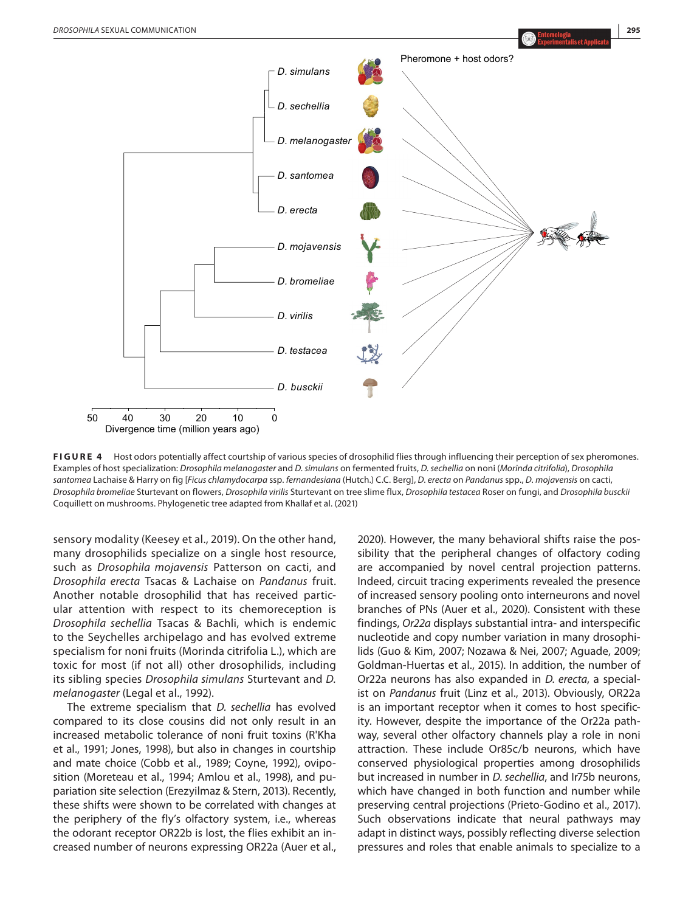

**FIGURE 4** Host odors potentially affect courtship of various species of drosophilid flies through influencing their perception of sex pheromones. Examples of host specialization: *Drosophila melanogaster* and *D. simulans* on fermented fruits, *D*. *sechellia* on noni (*Morinda citrifolia*), *Drosophila santomea* Lachaise & Harry on fig [*Ficus chlamydocarpa* ssp. *fernandesiana* (Hutch.) C.C. Berg], *D*. *erecta* on *Pandanus* spp., *D*. *mojavensis* on cacti, *Drosophila bromeliae* Sturtevant on flowers, *Drosophila virilis* Sturtevant on tree slime flux, *Drosophila testacea* Roser on fungi, and *Drosophila busckii* Coquillett on mushrooms. Phylogenetic tree adapted from Khallaf et al. (2021)

sensory modality (Keesey et al., 2019). On the other hand, many drosophilids specialize on a single host resource, such as *Drosophila mojavensis* Patterson on cacti, and *Drosophila erecta* Tsacas & Lachaise on *Pandanus* fruit. Another notable drosophilid that has received particular attention with respect to its chemoreception is *Drosophila sechellia* Tsacas & Bachli, which is endemic to the Seychelles archipelago and has evolved extreme specialism for noni fruits (Morinda citrifolia L.), which are toxic for most (if not all) other drosophilids, including its sibling species *Drosophila simulans* Sturtevant and *D. melanogaster* (Legal et al., 1992).

The extreme specialism that *D. sechellia* has evolved compared to its close cousins did not only result in an increased metabolic tolerance of noni fruit toxins (R'Kha et al., 1991; Jones, 1998), but also in changes in courtship and mate choice (Cobb et al., 1989; Coyne, 1992), oviposition (Moreteau et al., 1994; Amlou et al., 1998), and pupariation site selection (Erezyilmaz & Stern, 2013). Recently, these shifts were shown to be correlated with changes at the periphery of the fly's olfactory system, i.e., whereas the odorant receptor OR22b is lost, the flies exhibit an increased number of neurons expressing OR22a (Auer et al.,

2020). However, the many behavioral shifts raise the possibility that the peripheral changes of olfactory coding are accompanied by novel central projection patterns. Indeed, circuit tracing experiments revealed the presence of increased sensory pooling onto interneurons and novel branches of PNs (Auer et al., 2020). Consistent with these findings, *Or22a* displays substantial intra- and interspecific nucleotide and copy number variation in many drosophilids (Guo & Kim, 2007; Nozawa & Nei, 2007; Aguade, 2009; Goldman-Huertas et al., 2015). In addition, the number of Or22a neurons has also expanded in *D. erecta*, a specialist on *Pandanus* fruit (Linz et al., 2013). Obviously, OR22a is an important receptor when it comes to host specificity. However, despite the importance of the Or22a pathway, several other olfactory channels play a role in noni attraction. These include Or85c/b neurons, which have conserved physiological properties among drosophilids but increased in number in *D. sechellia*, and Ir75b neurons, which have changed in both function and number while preserving central projections (Prieto-Godino et al., 2017). Such observations indicate that neural pathways may adapt in distinct ways, possibly reflecting diverse selection pressures and roles that enable animals to specialize to a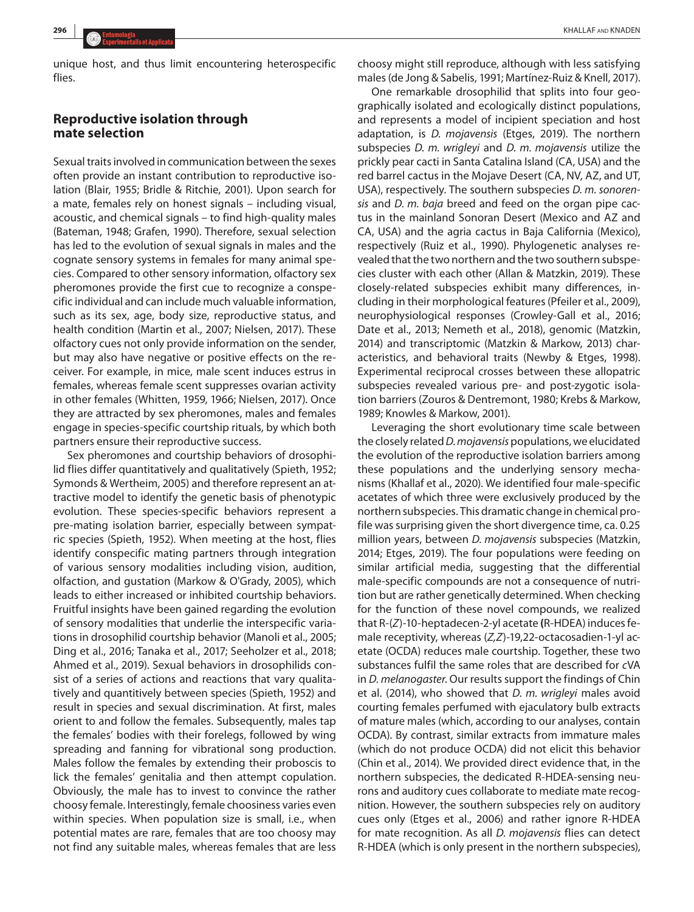unique host, and thus limit encountering heterospecific flies.

# **Reproductive isolation through mate selection**

Sexual traits involved in communication between the sexes often provide an instant contribution to reproductive isolation (Blair, 1955; Bridle & Ritchie, 2001). Upon search for a mate, females rely on honest signals – including visual, acoustic, and chemical signals – to find high-quality males (Bateman, 1948; Grafen, 1990). Therefore, sexual selection has led to the evolution of sexual signals in males and the cognate sensory systems in females for many animal species. Compared to other sensory information, olfactory sex pheromones provide the first cue to recognize a conspecific individual and can include much valuable information, such as its sex, age, body size, reproductive status, and health condition (Martin et al., 2007; Nielsen, 2017). These olfactory cues not only provide information on the sender, but may also have negative or positive effects on the receiver. For example, in mice, male scent induces estrus in females, whereas female scent suppresses ovarian activity in other females (Whitten, 1959, 1966; Nielsen, 2017). Once they are attracted by sex pheromones, males and females engage in species-specific courtship rituals, by which both partners ensure their reproductive success.

Sex pheromones and courtship behaviors of drosophilid flies differ quantitatively and qualitatively (Spieth, 1952; Symonds & Wertheim, 2005) and therefore represent an attractive model to identify the genetic basis of phenotypic evolution. These species-specific behaviors represent a pre-mating isolation barrier, especially between sympatric species (Spieth, 1952). When meeting at the host, flies identify conspecific mating partners through integration of various sensory modalities including vision, audition, olfaction, and gustation (Markow & O'Grady, 2005), which leads to either increased or inhibited courtship behaviors. Fruitful insights have been gained regarding the evolution of sensory modalities that underlie the interspecific variations in drosophilid courtship behavior (Manoli et al., 2005; Ding et al., 2016; Tanaka et al., 2017; Seeholzer et al., 2018; Ahmed et al., 2019). Sexual behaviors in drosophilids consist of a series of actions and reactions that vary qualitatively and quantitively between species (Spieth, 1952) and result in species and sexual discrimination. At first, males orient to and follow the females. Subsequently, males tap the females' bodies with their forelegs, followed by wing spreading and fanning for vibrational song production. Males follow the females by extending their proboscis to lick the females' genitalia and then attempt copulation. Obviously, the male has to invest to convince the rather choosy female. Interestingly, female choosiness varies even within species. When population size is small, i.e., when potential mates are rare, females that are too choosy may not find any suitable males, whereas females that are less

choosy might still reproduce, although with less satisfying males (de Jong & Sabelis, 1991; Martínez-Ruiz & Knell, 2017).

One remarkable drosophilid that splits into four geographically isolated and ecologically distinct populations, and represents a model of incipient speciation and host adaptation, is *D. mojavensis* (Etges, 2019). The northern subspecies *D. m. wrigleyi* and *D. m. mojavensis* utilize the prickly pear cacti in Santa Catalina Island (CA, USA) and the red barrel cactus in the Mojave Desert (CA, NV, AZ, and UT, USA), respectively. The southern subspecies *D. m. sonorensis* and *D. m. baja* breed and feed on the organ pipe cactus in the mainland Sonoran Desert (Mexico and AZ and CA, USA) and the agria cactus in Baja California (Mexico), respectively (Ruiz et al., 1990). Phylogenetic analyses revealed that the two northern and the two southern subspecies cluster with each other (Allan & Matzkin, 2019). These closely-related subspecies exhibit many differences, including in their morphological features (Pfeiler et al., 2009), neurophysiological responses (Crowley-Gall et al., 2016; Date et al., 2013; Nemeth et al., 2018), genomic (Matzkin, 2014) and transcriptomic (Matzkin & Markow, 2013) characteristics, and behavioral traits (Newby & Etges, 1998). Experimental reciprocal crosses between these allopatric subspecies revealed various pre- and post-zygotic isolation barriers (Zouros & Dentremont, 1980; Krebs & Markow, 1989; Knowles & Markow, 2001).

Leveraging the short evolutionary time scale between the closely related *D. mojavensis* populations, we elucidated the evolution of the reproductive isolation barriers among these populations and the underlying sensory mechanisms (Khallaf et al., 2020). We identified four male-specific acetates of which three were exclusively produced by the northern subspecies. This dramatic change in chemical profile was surprising given the short divergence time, ca. 0.25 million years, between *D. mojavensis* subspecies (Matzkin, 2014; Etges, 2019). The four populations were feeding on similar artificial media, suggesting that the differential male-specific compounds are not a consequence of nutrition but are rather genetically determined. When checking for the function of these novel compounds, we realized that R-(*Z*)-10-heptadecen-2-yl acetate **(**R-HDEA) induces female receptivity, whereas (*Z,Z*)-19,22-octacosadien-1-yl acetate (OCDA) reduces male courtship. Together, these two substances fulfil the same roles that are described for *c*VA in *D. melanogaster*. Our results support the findings of Chin et al. (2014), who showed that *D. m. wrigleyi* males avoid courting females perfumed with ejaculatory bulb extracts of mature males (which, according to our analyses, contain OCDA). By contrast, similar extracts from immature males (which do not produce OCDA) did not elicit this behavior (Chin et al., 2014). We provided direct evidence that, in the northern subspecies, the dedicated R-HDEA-sensing neurons and auditory cues collaborate to mediate mate recognition. However, the southern subspecies rely on auditory cues only (Etges et al., 2006) and rather ignore R-HDEA for mate recognition. As all *D. mojavensis* flies can detect R-HDEA (which is only present in the northern subspecies),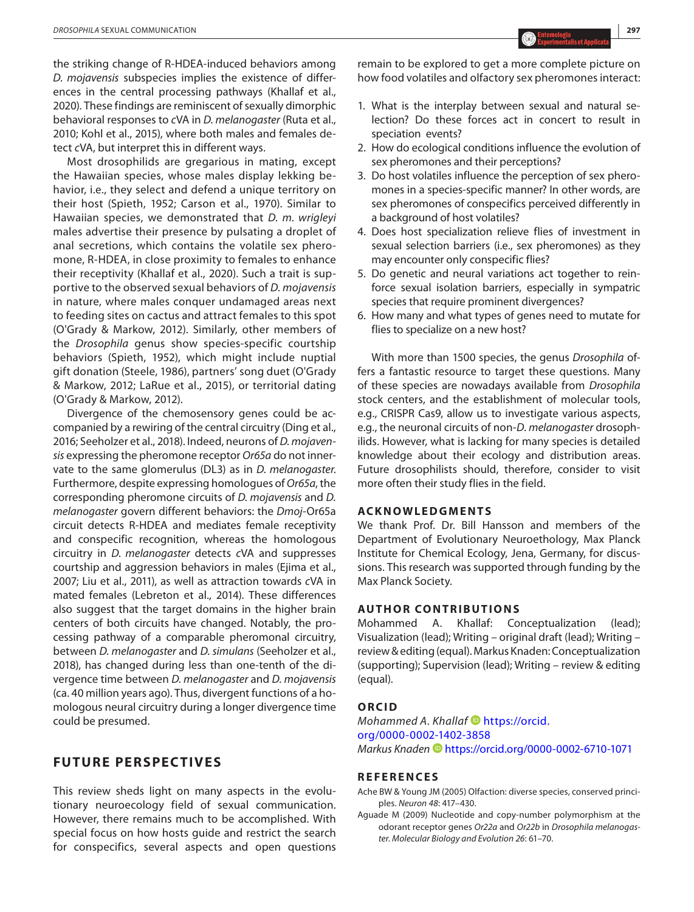the striking change of R-HDEA-induced behaviors among *D. mojavensis* subspecies implies the existence of differences in the central processing pathways (Khallaf et al., 2020). These findings are reminiscent of sexually dimorphic behavioral responses to *c*VA in *D. melanogaster* (Ruta et al., 2010; Kohl et al., 2015), where both males and females detect *c*VA, but interpret this in different ways.

Most drosophilids are gregarious in mating, except the Hawaiian species, whose males display lekking behavior, i.e., they select and defend a unique territory on their host (Spieth, 1952; Carson et al., 1970). Similar to Hawaiian species, we demonstrated that *D. m. wrigleyi* males advertise their presence by pulsating a droplet of anal secretions, which contains the volatile sex pheromone, R-HDEA, in close proximity to females to enhance their receptivity (Khallaf et al., 2020). Such a trait is supportive to the observed sexual behaviors of *D. mojavensis* in nature, where males conquer undamaged areas next to feeding sites on cactus and attract females to this spot (O'Grady & Markow, 2012). Similarly, other members of the *Drosophila* genus show species-specific courtship behaviors (Spieth, 1952), which might include nuptial gift donation (Steele, 1986), partners' song duet (O'Grady & Markow, 2012; LaRue et al., 2015), or territorial dating (O'Grady & Markow, 2012).

Divergence of the chemosensory genes could be accompanied by a rewiring of the central circuitry (Ding et al., 2016; Seeholzer et al., 2018). Indeed, neurons of *D. mojavensis* expressing the pheromone receptor *Or65a* do not innervate to the same glomerulus (DL3) as in *D. melanogaster*. Furthermore, despite expressing homologues of *Or65a*, the corresponding pheromone circuits of *D. mojavensis* and *D. melanogaster* govern different behaviors: the *Dmoj*-Or65a circuit detects R-HDEA and mediates female receptivity and conspecific recognition, whereas the homologous circuitry in *D. melanogaster* detects *c*VA and suppresses courtship and aggression behaviors in males (Ejima et al., 2007; Liu et al., 2011), as well as attraction towards *c*VA in mated females (Lebreton et al., 2014). These differences also suggest that the target domains in the higher brain centers of both circuits have changed. Notably, the processing pathway of a comparable pheromonal circuitry, between *D. melanogaster* and *D. simulans* (Seeholzer et al., 2018), has changed during less than one-tenth of the divergence time between *D. melanogaster* and *D. mojavensis* (ca. 40 million years ago). Thus, divergent functions of a homologous neural circuitry during a longer divergence time could be presumed.

# **FUTURE PERSPECTIVES**

This review sheds light on many aspects in the evolutionary neuroecology field of sexual communication. However, there remains much to be accomplished. With special focus on how hosts guide and restrict the search for conspecifics, several aspects and open questions

remain to be explored to get a more complete picture on how food volatiles and olfactory sex pheromones interact:

- 1. What is the interplay between sexual and natural selection? Do these forces act in concert to result in speciation events?
- 2. How do ecological conditions influence the evolution of sex pheromones and their perceptions?
- 3. Do host volatiles influence the perception of sex pheromones in a species-specific manner? In other words, are sex pheromones of conspecifics perceived differently in a background of host volatiles?
- 4. Does host specialization relieve flies of investment in sexual selection barriers (i.e., sex pheromones) as they may encounter only conspecific flies?
- 5. Do genetic and neural variations act together to reinforce sexual isolation barriers, especially in sympatric species that require prominent divergences?
- 6. How many and what types of genes need to mutate for flies to specialize on a new host?

With more than 1500 species, the genus *Drosophila* offers a fantastic resource to target these questions. Many of these species are nowadays available from *Drosophila* stock centers, and the establishment of molecular tools, e.g., CRISPR Cas9, allow us to investigate various aspects, e.g., the neuronal circuits of non-*D*. *melanogaster* drosophilids. However, what is lacking for many species is detailed knowledge about their ecology and distribution areas. Future drosophilists should, therefore, consider to visit more often their study flies in the field.

#### **ACKNOWLEDGMENTS**

We thank Prof. Dr. Bill Hansson and members of the Department of Evolutionary Neuroethology, Max Planck Institute for Chemical Ecology, Jena, Germany, for discussions. This research was supported through funding by the Max Planck Society.

#### **AUTHOR CONTRIBUTIONS**

Mohammed A. Khallaf: Conceptualization (lead); Visualization (lead); Writing – original draft (lead); Writing – review & editing (equal). Markus Knaden: Conceptualization (supporting); Supervision (lead); Writing – review & editing (equal).

#### **ORCID**

*Mohammed A. Khallaf* **D** [https://orcid.](https://orcid.org/0000-0002-1402-3858) [org/0000-0002-1402-3858](https://orcid.org/0000-0002-1402-3858) *Markus Knaden* <https://orcid.org/0000-0002-6710-1071>

#### **REFERENCES**

- Ache BW & Young JM (2005) Olfaction: diverse species, conserved principles. *Neuron 48*: 417–430.
- Aguade M (2009) Nucleotide and copy-number polymorphism at the odorant receptor genes *Or22a* and *Or22b* in *Drosophila melanogaster*. *Molecular Biology and Evolution 26*: 61–70.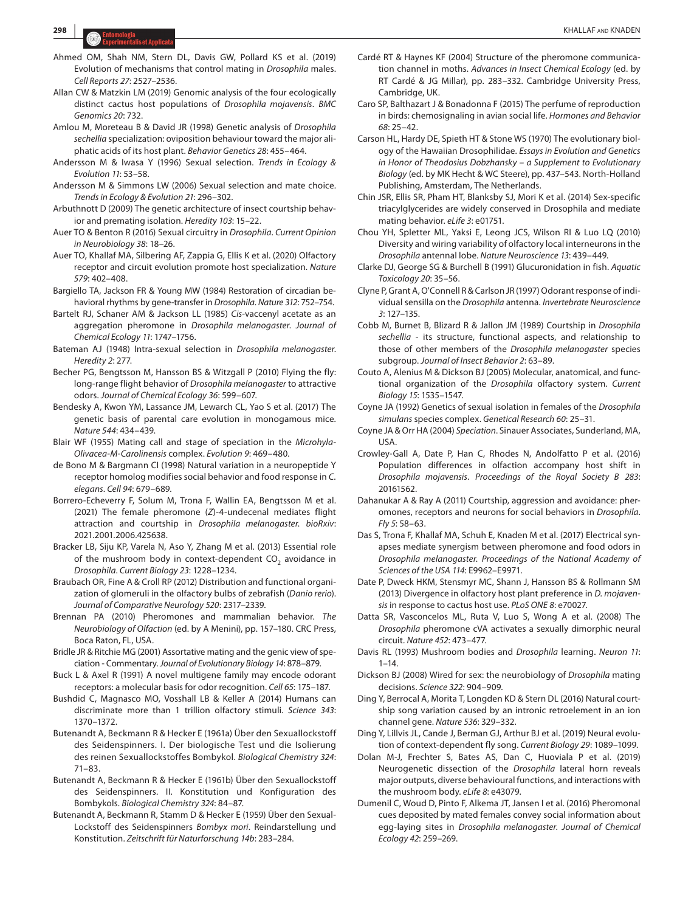- Ahmed OM, Shah NM, Stern DL, Davis GW, Pollard KS et al. (2019) Evolution of mechanisms that control mating in *Drosophila* males. *Cell Reports 27*: 2527–2536.
- Allan CW & Matzkin LM (2019) Genomic analysis of the four ecologically distinct cactus host populations of *Drosophila mojavensis*. *BMC Genomics 20*: 732.
- Amlou M, Moreteau B & David JR (1998) Genetic analysis of *Drosophila sechellia* specialization: oviposition behaviour toward the major aliphatic acids of its host plant. *Behavior Genetics 28*: 455–464.
- Andersson M & Iwasa Y (1996) Sexual selection. *Trends in Ecology & Evolution 11*: 53–58.
- Andersson M & Simmons LW (2006) Sexual selection and mate choice. *Trends in Ecology & Evolution 21*: 296–302.
- Arbuthnott D (2009) The genetic architecture of insect courtship behavior and premating isolation. *Heredity 103*: 15–22.
- Auer TO & Benton R (2016) Sexual circuitry in *Drosophila*. *Current Opinion in Neurobiology 38*: 18–26.
- Auer TO, Khallaf MA, Silbering AF, Zappia G, Ellis K et al. (2020) Olfactory receptor and circuit evolution promote host specialization. *Nature 579*: 402–408.
- Bargiello TA, Jackson FR & Young MW (1984) Restoration of circadian behavioral rhythms by gene-transfer in *Drosophila*. *Nature 312*: 752–754.
- Bartelt RJ, Schaner AM & Jackson LL (1985) *Cis*-vaccenyl acetate as an aggregation pheromone in *Drosophila melanogaster*. *Journal of Chemical Ecology 11*: 1747–1756.
- Bateman AJ (1948) Intra-sexual selection in *Drosophila melanogaster*. *Heredity 2*: 277.
- Becher PG, Bengtsson M, Hansson BS & Witzgall P (2010) Flying the fly: long-range flight behavior of *Drosophila melanogaster* to attractive odors. *Journal of Chemical Ecology 36*: 599–607.
- Bendesky A, Kwon YM, Lassance JM, Lewarch CL, Yao S et al. (2017) The genetic basis of parental care evolution in monogamous mice. *Nature 544*: 434–439.
- Blair WF (1955) Mating call and stage of speciation in the *Microhyla-Olivacea-M-Carolinensis* complex. *Evolution 9*: 469–480.
- de Bono M & Bargmann CI (1998) Natural variation in a neuropeptide Y receptor homolog modifies social behavior and food response in *C. elegans*. *Cell 94*: 679–689.
- Borrero-Echeverry F, Solum M, Trona F, Wallin EA, Bengtsson M et al. (2021) The female pheromone (*Z*)-4-undecenal mediates flight attraction and courtship in *Drosophila melanogaster*. *bioRxiv*: 2021.2001.2006.425638.
- Bracker LB, Siju KP, Varela N, Aso Y, Zhang M et al. (2013) Essential role of the mushroom body in context-dependent  $CO<sub>2</sub>$  avoidance in *Drosophila*. *Current Biology 23*: 1228–1234.
- Braubach OR, Fine A & Croll RP (2012) Distribution and functional organization of glomeruli in the olfactory bulbs of zebrafish (*Danio rerio*). *Journal of Comparative Neurology 520*: 2317–2339.
- Brennan PA (2010) Pheromones and mammalian behavior. *The Neurobiology of Olfaction* (ed. by A Menini), pp. 157–180. CRC Press, Boca Raton, FL, USA.
- Bridle JR & Ritchie MG (2001) Assortative mating and the genic view of speciation - Commentary. *Journal of Evolutionary Biology 14*: 878–879.
- Buck L & Axel R (1991) A novel multigene family may encode odorant receptors: a molecular basis for odor recognition. *Cell 65*: 175–187.
- Bushdid C, Magnasco MO, Vosshall LB & Keller A (2014) Humans can discriminate more than 1 trillion olfactory stimuli. *Science 343*: 1370–1372.
- Butenandt A, Beckmann R & Hecker E (1961a) Über den Sexuallockstoff des Seidenspinners. I. Der biologische Test und die Isolierung des reinen Sexuallockstoffes Bombykol. *Biological Chemistry 324*: 71–83.
- Butenandt A, Beckmann R & Hecker E (1961b) Über den Sexuallockstoff des Seidenspinners. II. Konstitution und Konfiguration des Bombykols. *Biological Chemistry 324*: 84–87.
- Butenandt A, Beckmann R, Stamm D & Hecker E (1959) Über den Sexual-Lockstoff des Seidenspinners *Bombyx mori*. Reindarstellung und Konstitution. *Zeitschrift für Naturforschung 14b*: 283–284.
- Cardé RT & Haynes KF (2004) Structure of the pheromone communication channel in moths. *Advances in Insect Chemical Ecology* (ed. by RT Cardé & JG Millar), pp. 283–332. Cambridge University Press, Cambridge, UK.
- Caro SP, Balthazart J & Bonadonna F (2015) The perfume of reproduction in birds: chemosignaling in avian social life. *Hormones and Behavior 68*: 25–42.
- Carson HL, Hardy DE, Spieth HT & Stone WS (1970) The evolutionary biology of the Hawaiian Drosophilidae. *Essays in Evolution and Genetics in Honor of Theodosius Dobzhansky – a Supplement to Evolutionary Biology* (ed. by MK Hecht & WC Steere), pp. 437–543. North-Holland Publishing, Amsterdam, The Netherlands.
- Chin JSR, Ellis SR, Pham HT, Blanksby SJ, Mori K et al. (2014) Sex-specific triacylglycerides are widely conserved in Drosophila and mediate mating behavior. *eLife 3*: e01751.
- Chou YH, Spletter ML, Yaksi E, Leong JCS, Wilson RI & Luo LQ (2010) Diversity and wiring variability of olfactory local interneurons in the *Drosophila* antennal lobe. *Nature Neuroscience 13*: 439–449.
- Clarke DJ, George SG & Burchell B (1991) Glucuronidation in fish. *Aquatic Toxicology 20*: 35–56.
- Clyne P, Grant A, O'Connell R & Carlson JR (1997) Odorant response of individual sensilla on the *Drosophila* antenna. *Invertebrate Neuroscience 3*: 127–135.
- Cobb M, Burnet B, Blizard R & Jallon JM (1989) Courtship in *Drosophila sechellia* - its structure, functional aspects, and relationship to those of other members of the *Drosophila melanogaster* species subgroup. *Journal of Insect Behavior 2*: 63–89.
- Couto A, Alenius M & Dickson BJ (2005) Molecular, anatomical, and functional organization of the *Drosophila* olfactory system. *Current Biology 15*: 1535–1547.
- Coyne JA (1992) Genetics of sexual isolation in females of the *Drosophila simulans* species complex. *Genetical Research 60*: 25–31.
- Coyne JA & Orr HA (2004) *Speciation*. Sinauer Associates, Sunderland, MA, **USA**
- Crowley-Gall A, Date P, Han C, Rhodes N, Andolfatto P et al. (2016) Population differences in olfaction accompany host shift in *Drosophila mojavensis*. *Proceedings of the Royal Society B 283*: 20161562.
- Dahanukar A & Ray A (2011) Courtship, aggression and avoidance: pheromones, receptors and neurons for social behaviors in *Drosophila*. *Fly 5*: 58–63.
- Das S, Trona F, Khallaf MA, Schuh E, Knaden M et al. (2017) Electrical synapses mediate synergism between pheromone and food odors in *Drosophila melanogaster*. *Proceedings of the National Academy of Sciences of the USA 114*: E9962–E9971.
- Date P, Dweck HKM, Stensmyr MC, Shann J, Hansson BS & Rollmann SM (2013) Divergence in olfactory host plant preference in *D. mojavensis* in response to cactus host use. *PLoS ONE 8*: e70027.
- Datta SR, Vasconcelos ML, Ruta V, Luo S, Wong A et al. (2008) The *Drosophila* pheromone cVA activates a sexually dimorphic neural circuit. *Nature 452*: 473–477.
- Davis RL (1993) Mushroom bodies and *Drosophila* learning. *Neuron 11*: 1–14.
- Dickson BJ (2008) Wired for sex: the neurobiology of *Drosophila* mating decisions. *Science 322*: 904–909.
- Ding Y, Berrocal A, Morita T, Longden KD & Stern DL (2016) Natural courtship song variation caused by an intronic retroelement in an ion channel gene. *Nature 536*: 329–332.
- Ding Y, Lillvis JL, Cande J, Berman GJ, Arthur BJ et al. (2019) Neural evolution of context-dependent fly song. *Current Biology 29*: 1089–1099.
- Dolan M-J, Frechter S, Bates AS, Dan C, Huoviala P et al. (2019) Neurogenetic dissection of the *Drosophila* lateral horn reveals major outputs, diverse behavioural functions, and interactions with the mushroom body. *eLife 8*: e43079.
- Dumenil C, Woud D, Pinto F, Alkema JT, Jansen I et al. (2016) Pheromonal cues deposited by mated females convey social information about egg-laying sites in *Drosophila melanogaster*. *Journal of Chemical Ecology 42*: 259–269.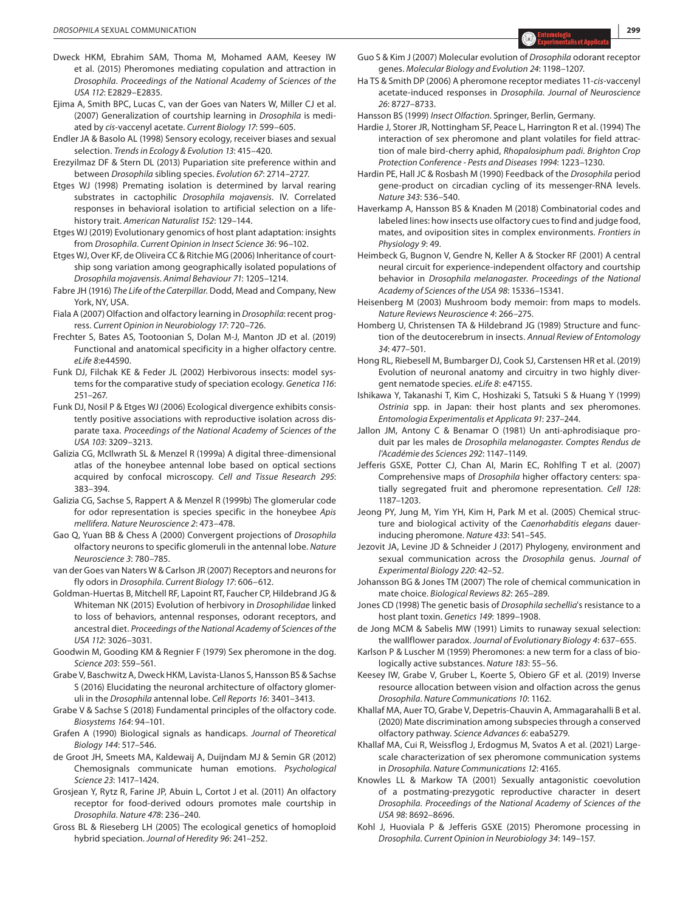- Dweck HKM, Ebrahim SAM, Thoma M, Mohamed AAM, Keesey IW et al. (2015) Pheromones mediating copulation and attraction in *Drosophila*. *Proceedings of the National Academy of Sciences of the USA 112*: E2829–E2835.
- Ejima A, Smith BPC, Lucas C, van der Goes van Naters W, Miller CJ et al. (2007) Generalization of courtship learning in *Drosophila* is mediated by *cis*-vaccenyl acetate. *Current Biology 17*: 599–605.
- Endler JA & Basolo AL (1998) Sensory ecology, receiver biases and sexual selection. *Trends in Ecology & Evolution 13*: 415–420.
- Erezyilmaz DF & Stern DL (2013) Pupariation site preference within and between *Drosophila* sibling species. *Evolution 67*: 2714–2727.
- Etges WJ (1998) Premating isolation is determined by larval rearing substrates in cactophilic *Drosophila mojavensis*. IV. Correlated responses in behavioral isolation to artificial selection on a lifehistory trait. *American Naturalist 152*: 129–144.
- Etges WJ (2019) Evolutionary genomics of host plant adaptation: insights from *Drosophila*. *Current Opinion in Insect Science 36*: 96–102.
- Etges WJ, Over KF, de Oliveira CC & Ritchie MG (2006) Inheritance of courtship song variation among geographically isolated populations of *Drosophila mojavensis*. *Animal Behaviour 71*: 1205–1214.
- Fabre JH (1916) *The Life of the Caterpillar*. Dodd, Mead and Company, New York, NY, USA.
- Fiala A (2007) Olfaction and olfactory learning in *Drosophila*: recent progress. *Current Opinion in Neurobiology 17*: 720–726.
- Frechter S, Bates AS, Tootoonian S, Dolan M-J, Manton JD et al. (2019) Functional and anatomical specificity in a higher olfactory centre. *eLife 8*:e44590.
- Funk DJ, Filchak KE & Feder JL (2002) Herbivorous insects: model systems for the comparative study of speciation ecology. *Genetica 116*: 251–267.
- Funk DJ, Nosil P & Etges WJ (2006) Ecological divergence exhibits consistently positive associations with reproductive isolation across disparate taxa. *Proceedings of the National Academy of Sciences of the USA 103*: 3209–3213.
- Galizia CG, McIlwrath SL & Menzel R (1999a) A digital three-dimensional atlas of the honeybee antennal lobe based on optical sections acquired by confocal microscopy. *Cell and Tissue Research 295*: 383–394.
- Galizia CG, Sachse S, Rappert A & Menzel R (1999b) The glomerular code for odor representation is species specific in the honeybee *Apis mellifera*. *Nature Neuroscience 2*: 473–478.
- Gao Q, Yuan BB & Chess A (2000) Convergent projections of *Drosophila* olfactory neurons to specific glomeruli in the antennal lobe. *Nature Neuroscience 3*: 780–785.
- van der Goes van Naters W & Carlson JR (2007) Receptors and neurons for fly odors in *Drosophila*. *Current Biology 17*: 606–612.
- Goldman-Huertas B, Mitchell RF, Lapoint RT, Faucher CP, Hildebrand JG & Whiteman NK (2015) Evolution of herbivory in *Drosophilidae* linked to loss of behaviors, antennal responses, odorant receptors, and ancestral diet. *Proceedings of the National Academy of Sciences of the USA 112*: 3026–3031.
- Goodwin M, Gooding KM & Regnier F (1979) Sex pheromone in the dog. *Science 203*: 559–561.
- Grabe V, Baschwitz A, Dweck HKM, Lavista-Llanos S, Hansson BS & Sachse S (2016) Elucidating the neuronal architecture of olfactory glomeruli in the *Drosophila* antennal lobe. *Cell Reports 16*: 3401–3413.
- Grabe V & Sachse S (2018) Fundamental principles of the olfactory code. *Biosystems 164*: 94–101.
- Grafen A (1990) Biological signals as handicaps. *Journal of Theoretical Biology 144*: 517–546.
- de Groot JH, Smeets MA, Kaldewaij A, Duijndam MJ & Semin GR (2012) Chemosignals communicate human emotions. *Psychological Science 23*: 1417–1424.
- Grosjean Y, Rytz R, Farine JP, Abuin L, Cortot J et al. (2011) An olfactory receptor for food-derived odours promotes male courtship in *Drosophila*. *Nature 478*: 236–240.
- Gross BL & Rieseberg LH (2005) The ecological genetics of homoploid hybrid speciation. *Journal of Heredity 96*: 241–252.
- Guo S & Kim J (2007) Molecular evolution of *Drosophila* odorant receptor genes. *Molecular Biology and Evolution 24*: 1198–1207.
- Ha TS & Smith DP (2006) A pheromone receptor mediates 11-*cis*-vaccenyl acetate-induced responses in *Drosophila*. *Journal of Neuroscience 26*: 8727–8733.
- Hansson BS (1999) *Insect Olfaction*. Springer, Berlin, Germany.
- Hardie J, Storer JR, Nottingham SF, Peace L, Harrington R et al. (1994) The interaction of sex pheromone and plant volatiles for field attraction of male bird-cherry aphid, *Rhopalosiphum padi*. *Brighton Crop Protection Conference - Pests and Diseases 1994*: 1223–1230.
- Hardin PE, Hall JC & Rosbash M (1990) Feedback of the *Drosophila* period gene-product on circadian cycling of its messenger-RNA levels. *Nature 343*: 536–540.
- Haverkamp A, Hansson BS & Knaden M (2018) Combinatorial codes and labeled lines: how insects use olfactory cues to find and judge food, mates, and oviposition sites in complex environments. *Frontiers in Physiology 9*: 49.
- Heimbeck G, Bugnon V, Gendre N, Keller A & Stocker RF (2001) A central neural circuit for experience-independent olfactory and courtship behavior in *Drosophila melanogaster*. *Proceedings of the National Academy of Sciences of the USA 98*: 15336–15341.
- Heisenberg M (2003) Mushroom body memoir: from maps to models. *Nature Reviews Neuroscience 4*: 266–275.
- Homberg U, Christensen TA & Hildebrand JG (1989) Structure and function of the deutocerebrum in insects. *Annual Review of Entomology 34*: 477–501.
- Hong RL, Riebesell M, Bumbarger DJ, Cook SJ, Carstensen HR et al. (2019) Evolution of neuronal anatomy and circuitry in two highly divergent nematode species. *eLife 8*: e47155.
- Ishikawa Y, Takanashi T, Kim C, Hoshizaki S, Tatsuki S & Huang Y (1999) *Ostrinia* spp. in Japan: their host plants and sex pheromones. *Entomologia Experimentalis et Applicata 91*: 237–244.
- Jallon JM, Antony C & Benamar O (1981) Un anti-aphrodisiaque produit par les males de *Drosophila melanogaster*. *Comptes Rendus de l'Académie des Sciences 292*: 1147–1149.
- Jefferis GSXE, Potter CJ, Chan AI, Marin EC, Rohlfing T et al. (2007) Comprehensive maps of *Drosophila* higher offactory centers: spatially segregated fruit and pheromone representation. *Cell 128*: 1187–1203.
- Jeong PY, Jung M, Yim YH, Kim H, Park M et al. (2005) Chemical structure and biological activity of the *Caenorhabditis elegans* dauerinducing pheromone. *Nature 433*: 541–545.
- Jezovit JA, Levine JD & Schneider J (2017) Phylogeny, environment and sexual communication across the *Drosophila* genus. *Journal of Experimental Biology 220*: 42–52.
- Johansson BG & Jones TM (2007) The role of chemical communication in mate choice. *Biological Reviews 82*: 265–289.
- Jones CD (1998) The genetic basis of *Drosophila sechellia*'s resistance to a host plant toxin. *Genetics 149*: 1899–1908.
- de Jong MCM & Sabelis MW (1991) Limits to runaway sexual selection: the wallflower paradox. *Journal of Evolutionary Biology 4*: 637–655.
- Karlson P & Luscher M (1959) Pheromones: a new term for a class of biologically active substances. *Nature 183*: 55–56.
- Keesey IW, Grabe V, Gruber L, Koerte S, Obiero GF et al. (2019) Inverse resource allocation between vision and olfaction across the genus *Drosophila*. *Nature Communications 10*: 1162.
- Khallaf MA, Auer TO, Grabe V, Depetris-Chauvin A, Ammagarahalli B et al. (2020) Mate discrimination among subspecies through a conserved olfactory pathway. *Science Advances 6*: eaba5279.
- Khallaf MA, Cui R, Weissflog J, Erdogmus M, Svatos A et al. (2021) Largescale characterization of sex pheromone communication systems in *Drosophila*. *Nature Communications 12*: 4165.
- Knowles LL & Markow TA (2001) Sexually antagonistic coevolution of a postmating-prezygotic reproductive character in desert *Drosophila*. *Proceedings of the National Academy of Sciences of the USA 98*: 8692–8696.
- Kohl J, Huoviala P & Jefferis GSXE (2015) Pheromone processing in *Drosophila*. *Current Opinion in Neurobiology 34*: 149–157.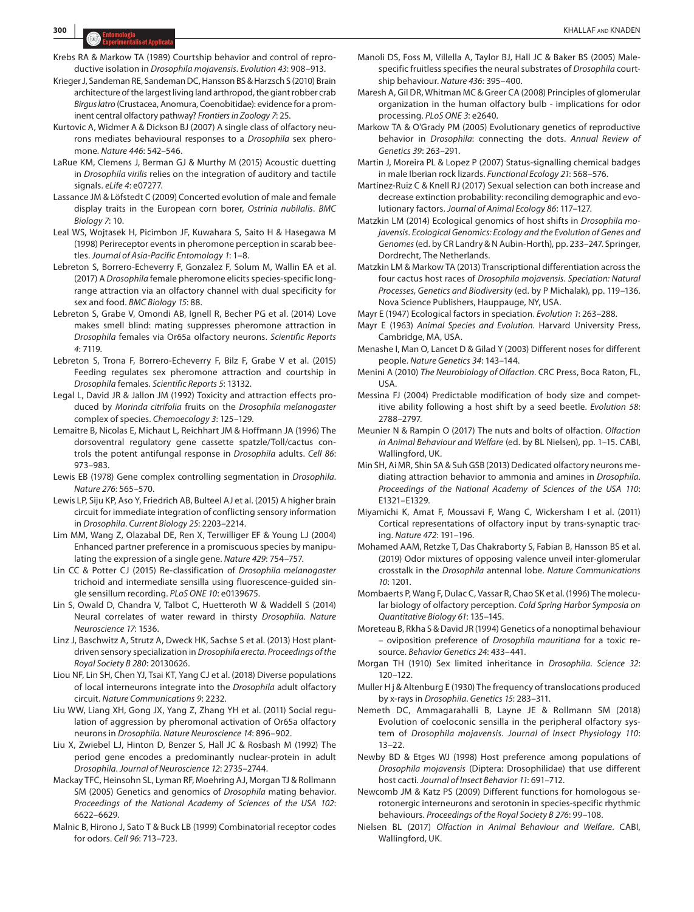- Krebs RA & Markow TA (1989) Courtship behavior and control of reproductive isolation in *Drosophila mojavensis*. *Evolution 43*: 908–913.
- Krieger J, Sandeman RE, Sandeman DC, Hansson BS & Harzsch S (2010) Brain architecture of the largest living land arthropod, the giant robber crab *Birgus latro* (Crustacea, Anomura, Coenobitidae): evidence for a prominent central olfactory pathway? *Frontiers in Zoology 7*: 25.
- Kurtovic A, Widmer A & Dickson BJ (2007) A single class of olfactory neurons mediates behavioural responses to a *Drosophila* sex pheromone. *Nature 446*: 542–546.
- LaRue KM, Clemens J, Berman GJ & Murthy M (2015) Acoustic duetting in *Drosophila virilis* relies on the integration of auditory and tactile signals. *eLife 4*: e07277.
- Lassance JM & Löfstedt C (2009) Concerted evolution of male and female display traits in the European corn borer, *Ostrinia nubilalis*. *BMC Biology 7*: 10.
- Leal WS, Wojtasek H, Picimbon JF, Kuwahara S, Saito H & Hasegawa M (1998) Perireceptor events in pheromone perception in scarab beetles. *Journal of Asia-Pacific Entomology 1*: 1–8.
- Lebreton S, Borrero-Echeverry F, Gonzalez F, Solum M, Wallin EA et al. (2017) A *Drosophila* female pheromone elicits species-specific longrange attraction via an olfactory channel with dual specificity for sex and food. *BMC Biology 15*: 88.
- Lebreton S, Grabe V, Omondi AB, Ignell R, Becher PG et al. (2014) Love makes smell blind: mating suppresses pheromone attraction in *Drosophila* females via Or65a olfactory neurons. *Scientific Reports 4*: 7119.
- Lebreton S, Trona F, Borrero-Echeverry F, Bilz F, Grabe V et al. (2015) Feeding regulates sex pheromone attraction and courtship in *Drosophila* females. *Scientific Reports 5*: 13132.
- Legal L, David JR & Jallon JM (1992) Toxicity and attraction effects produced by *Morinda citrifolia* fruits on the *Drosophila melanogaster* complex of species. *Chemoecology 3*: 125–129.
- Lemaitre B, Nicolas E, Michaut L, Reichhart JM & Hoffmann JA (1996) The dorsoventral regulatory gene cassette spatzle/Toll/cactus controls the potent antifungal response in *Drosophila* adults. *Cell 86*: 973–983.
- Lewis EB (1978) Gene complex controlling segmentation in *Drosophila*. *Nature 276*: 565–570.
- Lewis LP, Siju KP, Aso Y, Friedrich AB, Bulteel AJ et al. (2015) A higher brain circuit for immediate integration of conflicting sensory information in *Drosophila*. *Current Biology 25*: 2203–2214.
- Lim MM, Wang Z, Olazabal DE, Ren X, Terwilliger EF & Young LJ (2004) Enhanced partner preference in a promiscuous species by manipulating the expression of a single gene. *Nature 429*: 754–757.
- Lin CC & Potter CJ (2015) Re-classification of *Drosophila melanogaster* trichoid and intermediate sensilla using fluorescence-guided single sensillum recording. *PLoS ONE 10*: e0139675.
- Lin S, Owald D, Chandra V, Talbot C, Huetteroth W & Waddell S (2014) Neural correlates of water reward in thirsty *Drosophila*. *Nature Neuroscience 17*: 1536.
- Linz J, Baschwitz A, Strutz A, Dweck HK, Sachse S et al. (2013) Host plantdriven sensory specialization in *Drosophila erecta*. *Proceedings of the Royal Society B 280*: 20130626.
- Liou NF, Lin SH, Chen YJ, Tsai KT, Yang CJ et al. (2018) Diverse populations of local interneurons integrate into the *Drosophila* adult olfactory circuit. *Nature Communications 9*: 2232.
- Liu WW, Liang XH, Gong JX, Yang Z, Zhang YH et al. (2011) Social regulation of aggression by pheromonal activation of Or65a olfactory neurons in *Drosophila*. *Nature Neuroscience 14*: 896–902.
- Liu X, Zwiebel LJ, Hinton D, Benzer S, Hall JC & Rosbash M (1992) The period gene encodes a predominantly nuclear-protein in adult *Drosophila*. *Journal of Neuroscience 12*: 2735–2744.
- Mackay TFC, Heinsohn SL, Lyman RF, Moehring AJ, Morgan TJ & Rollmann SM (2005) Genetics and genomics of *Drosophila* mating behavior. *Proceedings of the National Academy of Sciences of the USA 102*: 6622–6629.
- Malnic B, Hirono J, Sato T & Buck LB (1999) Combinatorial receptor codes for odors. *Cell 96*: 713–723.
- Manoli DS, Foss M, Villella A, Taylor BJ, Hall JC & Baker BS (2005) Malespecific fruitless specifies the neural substrates of *Drosophila* courtship behaviour. *Nature 436*: 395–400.
- Maresh A, Gil DR, Whitman MC & Greer CA (2008) Principles of glomerular organization in the human olfactory bulb - implications for odor processing. *PLoS ONE 3*: e2640.
- Markow TA & O'Grady PM (2005) Evolutionary genetics of reproductive behavior in *Drosophila*: connecting the dots. *Annual Review of Genetics 39*: 263–291.
- Martin J, Moreira PL & Lopez P (2007) Status-signalling chemical badges in male Iberian rock lizards. *Functional Ecology 21*: 568–576.
- Martínez-Ruiz C & Knell RJ (2017) Sexual selection can both increase and decrease extinction probability: reconciling demographic and evolutionary factors. *Journal of Animal Ecology 86*: 117–127.
- Matzkin LM (2014) Ecological genomics of host shifts in *Drosophila mojavensis*. *Ecological Genomics: Ecology and the Evolution of Genes and Genomes* (ed. by CR Landry & N Aubin-Horth), pp. 233–247. Springer, Dordrecht, The Netherlands.
- Matzkin LM & Markow TA (2013) Transcriptional differentiation across the four cactus host races of *Drosophila mojavensis*. *Speciation: Natural Processes, Genetics and Biodiversity* (ed. by P Michalak), pp. 119–136. Nova Science Publishers, Hauppauge, NY, USA.

Mayr E (1947) Ecological factors in speciation. *Evolution 1*: 263–288.

- Mayr E (1963) *Animal Species and Evolution*. Harvard University Press, Cambridge, MA, USA.
- Menashe I, Man O, Lancet D & Gilad Y (2003) Different noses for different people. *Nature Genetics 34*: 143–144.
- Menini A (2010) *The Neurobiology of Olfaction*. CRC Press, Boca Raton, FL, USA.
- Messina FJ (2004) Predictable modification of body size and competitive ability following a host shift by a seed beetle. *Evolution 58*: 2788–2797.
- Meunier N & Rampin O (2017) The nuts and bolts of olfaction. *Olfaction in Animal Behaviour and Welfare* (ed. by BL Nielsen), pp. 1–15. CABI, Wallingford, UK.
- Min SH, Ai MR, Shin SA & Suh GSB (2013) Dedicated olfactory neurons mediating attraction behavior to ammonia and amines in *Drosophila*. *Proceedings of the National Academy of Sciences of the USA 110*: E1321–E1329.
- Miyamichi K, Amat F, Moussavi F, Wang C, Wickersham I et al. (2011) Cortical representations of olfactory input by trans-synaptic tracing. *Nature 472*: 191–196.
- Mohamed AAM, Retzke T, Das Chakraborty S, Fabian B, Hansson BS et al. (2019) Odor mixtures of opposing valence unveil inter-glomerular crosstalk in the *Drosophila* antennal lobe. *Nature Communications 10*: 1201.
- Mombaerts P, Wang F, Dulac C, Vassar R, Chao SK et al. (1996) The molecular biology of olfactory perception. *Cold Spring Harbor Symposia on Quantitative Biology 61*: 135–145.
- Moreteau B, Rkha S & David JR (1994) Genetics of a nonoptimal behaviour – oviposition preference of *Drosophila mauritiana* for a toxic resource. *Behavior Genetics 24*: 433–441.
- Morgan TH (1910) Sex limited inheritance in *Drosophila*. *Science 32*: 120–122.
- Muller H j & Altenburg E (1930) The frequency of translocations produced by x-rays in *Drosophila*. *Genetics 15*: 283–311.
- Nemeth DC, Ammagarahalli B, Layne JE & Rollmann SM (2018) Evolution of coeloconic sensilla in the peripheral olfactory system of *Drosophila mojavensis*. *Journal of Insect Physiology 110*: 13–22.
- Newby BD & Etges WJ (1998) Host preference among populations of *Drosophila mojavensis* (Diptera: Drosophilidae) that use different host cacti. *Journal of Insect Behavior 11*: 691–712.
- Newcomb JM & Katz PS (2009) Different functions for homologous serotonergic interneurons and serotonin in species-specific rhythmic behaviours. *Proceedings of the Royal Society B 276*: 99–108.
- Nielsen BL (2017) *Olfaction in Animal Behaviour and Welfare*. CABI, Wallingford, UK.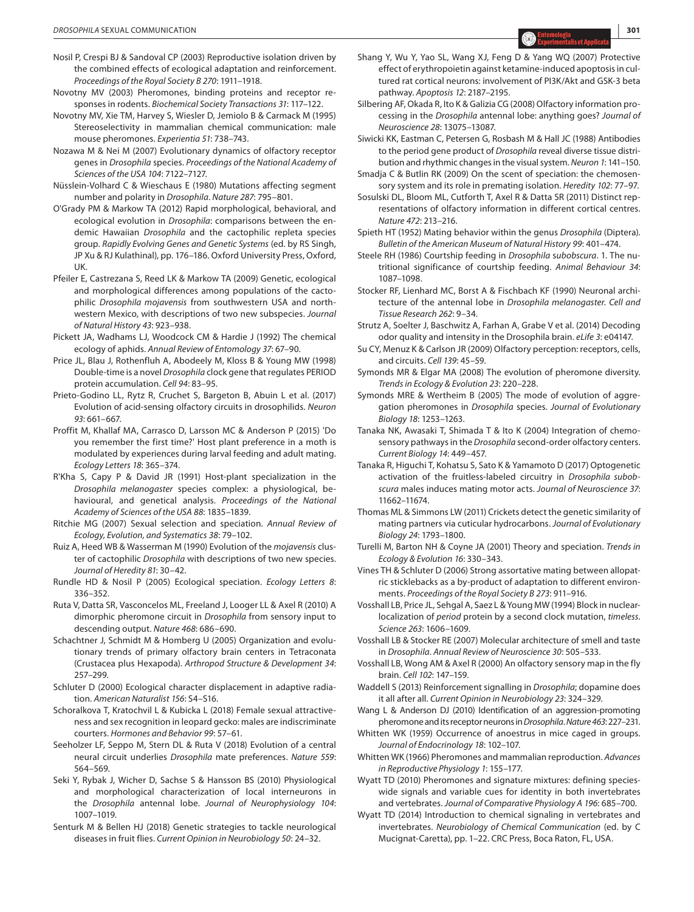- Nosil P, Crespi BJ & Sandoval CP (2003) Reproductive isolation driven by the combined effects of ecological adaptation and reinforcement. *Proceedings of the Royal Society B 270*: 1911–1918.
- Novotny MV (2003) Pheromones, binding proteins and receptor responses in rodents. *Biochemical Society Transactions 31*: 117–122.
- Novotny MV, Xie TM, Harvey S, Wiesler D, Jemiolo B & Carmack M (1995) Stereoselectivity in mammalian chemical communication: male mouse pheromones. *Experientia 51*: 738–743.
- Nozawa M & Nei M (2007) Evolutionary dynamics of olfactory receptor genes in *Drosophila* species. *Proceedings of the National Academy of Sciences of the USA 104*: 7122–7127.
- Nüsslein-Volhard C & Wieschaus E (1980) Mutations affecting segment number and polarity in *Drosophila*. *Nature 287*: 795–801.
- O'Grady PM & Markow TA (2012) Rapid morphological, behavioral, and ecological evolution in *Drosophila*: comparisons between the endemic Hawaiian *Drosophila* and the cactophilic repleta species group. *Rapidly Evolving Genes and Genetic Systems* (ed. by RS Singh, JP Xu & RJ Kulathinal), pp. 176–186. Oxford University Press, Oxford, UK.
- Pfeiler E, Castrezana S, Reed LK & Markow TA (2009) Genetic, ecological and morphological differences among populations of the cactophilic *Drosophila mojavensis* from southwestern USA and northwestern Mexico, with descriptions of two new subspecies. *Journal of Natural History 43*: 923–938.
- Pickett JA, Wadhams LJ, Woodcock CM & Hardie J (1992) The chemical ecology of aphids. *Annual Review of Entomology 37*: 67–90.
- Price JL, Blau J, Rothenfluh A, Abodeely M, Kloss B & Young MW (1998) Double-time is a novel *Drosophila* clock gene that regulates PERIOD protein accumulation. *Cell 94*: 83–95.
- Prieto-Godino LL, Rytz R, Cruchet S, Bargeton B, Abuin L et al. (2017) Evolution of acid-sensing olfactory circuits in drosophilids. *Neuron 93*: 661–667.
- Proffit M, Khallaf MA, Carrasco D, Larsson MC & Anderson P (2015) 'Do you remember the first time?' Host plant preference in a moth is modulated by experiences during larval feeding and adult mating. *Ecology Letters 18*: 365–374.
- R'Kha S, Capy P & David JR (1991) Host-plant specialization in the *Drosophila melanogaster* species complex: a physiological, behavioural, and genetical analysis. *Proceedings of the National Academy of Sciences of the USA 88*: 1835–1839.
- Ritchie MG (2007) Sexual selection and speciation. *Annual Review of Ecology, Evolution, and Systematics 38*: 79–102.
- Ruiz A, Heed WB & Wasserman M (1990) Evolution of the *mojavensis* cluster of cactophilic *Drosophila* with descriptions of two new species. *Journal of Heredity 81*: 30–42.
- Rundle HD & Nosil P (2005) Ecological speciation. *Ecology Letters 8*: 336–352.
- Ruta V, Datta SR, Vasconcelos ML, Freeland J, Looger LL & Axel R (2010) A dimorphic pheromone circuit in *Drosophila* from sensory input to descending output. *Nature 468*: 686–690.
- Schachtner J, Schmidt M & Homberg U (2005) Organization and evolutionary trends of primary olfactory brain centers in Tetraconata (Crustacea plus Hexapoda). *Arthropod Structure & Development 34*: 257–299.
- Schluter D (2000) Ecological character displacement in adaptive radiation. *American Naturalist 156*: S4–S16.
- Schoralkova T, Kratochvil L & Kubicka L (2018) Female sexual attractiveness and sex recognition in leopard gecko: males are indiscriminate courters. *Hormones and Behavior 99*: 57–61.
- Seeholzer LF, Seppo M, Stern DL & Ruta V (2018) Evolution of a central neural circuit underlies *Drosophila* mate preferences. *Nature 559*: 564–569.
- Seki Y, Rybak J, Wicher D, Sachse S & Hansson BS (2010) Physiological and morphological characterization of local interneurons in the *Drosophila* antennal lobe. *Journal of Neurophysiology 104*: 1007–1019.
- Senturk M & Bellen HJ (2018) Genetic strategies to tackle neurological diseases in fruit flies. *Current Opinion in Neurobiology 50*: 24–32.
- Shang Y, Wu Y, Yao SL, Wang XJ, Feng D & Yang WQ (2007) Protective effect of erythropoietin against ketamine-induced apoptosis in cultured rat cortical neurons: involvement of PI3K/Akt and GSK-3 beta pathway. *Apoptosis 12*: 2187–2195.
- Silbering AF, Okada R, Ito K & Galizia CG (2008) Olfactory information processing in the *Drosophila* antennal lobe: anything goes? *Journal of Neuroscience 28*: 13075–13087.

Siwicki KK, Eastman C, Petersen G, Rosbash M & Hall JC (1988) Antibodies to the period gene product of *Drosophila* reveal diverse tissue distribution and rhythmic changes in the visual system. *Neuron 1*: 141–150.

Smadja C & Butlin RK (2009) On the scent of speciation: the chemosensory system and its role in premating isolation. *Heredity 102*: 77–97.

- Sosulski DL, Bloom ML, Cutforth T, Axel R & Datta SR (2011) Distinct representations of olfactory information in different cortical centres. *Nature 472*: 213–216.
- Spieth HT (1952) Mating behavior within the genus *Drosophila* (Diptera). *Bulletin of the American Museum of Natural History 99*: 401–474.
- Steele RH (1986) Courtship feeding in *Drosophila* s*ubobscura*. 1. The nutritional significance of courtship feeding. *Animal Behaviour 34*: 1087–1098.
- Stocker RF, Lienhard MC, Borst A & Fischbach KF (1990) Neuronal architecture of the antennal lobe in *Drosophila melanogaster*. *Cell and Tissue Research 262*: 9–34.
- Strutz A, Soelter J, Baschwitz A, Farhan A, Grabe V et al. (2014) Decoding odor quality and intensity in the Drosophila brain. *eLife 3*: e04147.
- Su CY, Menuz K & Carlson JR (2009) Olfactory perception: receptors, cells, and circuits. *Cell 139*: 45–59.
- Symonds MR & Elgar MA (2008) The evolution of pheromone diversity. *Trends in Ecology & Evolution 23*: 220–228.
- Symonds MRE & Wertheim B (2005) The mode of evolution of aggregation pheromones in *Drosophila* species. *Journal of Evolutionary Biology 18*: 1253–1263.
- Tanaka NK, Awasaki T, Shimada T & Ito K (2004) Integration of chemosensory pathways in the *Drosophila* second-order olfactory centers. *Current Biology 14*: 449–457.
- Tanaka R, Higuchi T, Kohatsu S, Sato K & Yamamoto D (2017) Optogenetic activation of the fruitless-labeled circuitry in *Drosophila subobscura* males induces mating motor acts. *Journal of Neuroscience 37*: 11662–11674.
- Thomas ML & Simmons LW (2011) Crickets detect the genetic similarity of mating partners via cuticular hydrocarbons. *Journal of Evolutionary Biology 24*: 1793–1800.
- Turelli M, Barton NH & Coyne JA (2001) Theory and speciation. *Trends in Ecology & Evolution 16*: 330–343.
- Vines TH & Schluter D (2006) Strong assortative mating between allopatric sticklebacks as a by-product of adaptation to different environments. *Proceedings of the Royal Society B 273*: 911–916.
- Vosshall LB, Price JL, Sehgal A, Saez L & Young MW (1994) Block in nuclearlocalization of *period* protein by a second clock mutation, *timeless*. *Science 263*: 1606–1609.
- Vosshall LB & Stocker RE (2007) Molecular architecture of smell and taste in *Drosophila*. *Annual Review of Neuroscience 30*: 505–533.
- Vosshall LB, Wong AM & Axel R (2000) An olfactory sensory map in the fly brain. *Cell 102*: 147–159.
- Waddell S (2013) Reinforcement signalling in *Drosophila*; dopamine does it all after all. *Current Opinion in Neurobiology 23*: 324–329.
- Wang L & Anderson DJ (2010) Identification of an aggression-promoting pheromone and its receptor neurons in *Drosophila*. *Nature463*: 227–231.
- Whitten WK (1959) Occurrence of anoestrus in mice caged in groups. *Journal of Endocrinology 18*: 102–107.
- Whitten WK (1966) Pheromones and mammalian reproduction. *Advances in Reproductive Physiology 1*: 155–177.
- Wyatt TD (2010) Pheromones and signature mixtures: defining specieswide signals and variable cues for identity in both invertebrates and vertebrates. *Journal of Comparative Physiology A 196*: 685–700.
- Wyatt TD (2014) Introduction to chemical signaling in vertebrates and invertebrates. *Neurobiology of Chemical Communication* (ed. by C Mucignat-Caretta), pp. 1–22. CRC Press, Boca Raton, FL, USA.